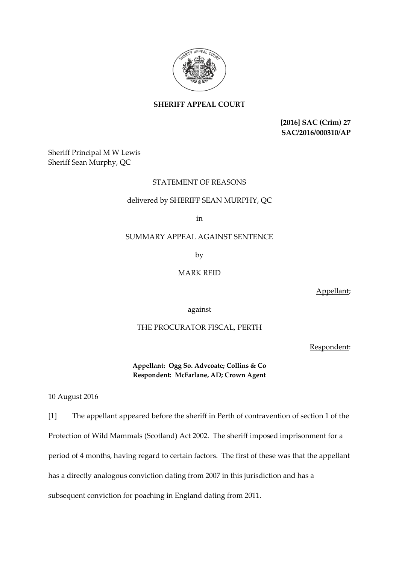

**SHERIFF APPEAL COURT**

**[2016] SAC (Crim) 27 SAC/2016/000310/AP**

Sheriff Principal M W Lewis Sheriff Sean Murphy, QC

# STATEMENT OF REASONS

### delivered by SHERIFF SEAN MURPHY, QC

in

# SUMMARY APPEAL AGAINST SENTENCE

by

### MARK REID

Appellant;

against

## THE PROCURATOR FISCAL, PERTH

Respondent:

**Appellant: Ogg So. Advcoate; Collins & Co Respondent: McFarlane, AD; Crown Agent**

#### 10 August 2016

[1] The appellant appeared before the sheriff in Perth of contravention of section 1 of the Protection of Wild Mammals (Scotland) Act 2002. The sheriff imposed imprisonment for a period of 4 months, having regard to certain factors. The first of these was that the appellant has a directly analogous conviction dating from 2007 in this jurisdiction and has a subsequent conviction for poaching in England dating from 2011.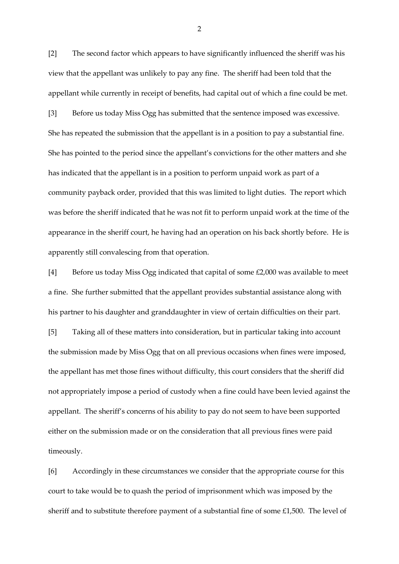[2] The second factor which appears to have significantly influenced the sheriff was his view that the appellant was unlikely to pay any fine. The sheriff had been told that the appellant while currently in receipt of benefits, had capital out of which a fine could be met. [3] Before us today Miss Ogg has submitted that the sentence imposed was excessive. She has repeated the submission that the appellant is in a position to pay a substantial fine. She has pointed to the period since the appellant's convictions for the other matters and she has indicated that the appellant is in a position to perform unpaid work as part of a community payback order, provided that this was limited to light duties. The report which was before the sheriff indicated that he was not fit to perform unpaid work at the time of the appearance in the sheriff court, he having had an operation on his back shortly before. He is apparently still convalescing from that operation.

[4] Before us today Miss Ogg indicated that capital of some £2,000 was available to meet a fine. She further submitted that the appellant provides substantial assistance along with his partner to his daughter and granddaughter in view of certain difficulties on their part.

[5] Taking all of these matters into consideration, but in particular taking into account the submission made by Miss Ogg that on all previous occasions when fines were imposed, the appellant has met those fines without difficulty, this court considers that the sheriff did not appropriately impose a period of custody when a fine could have been levied against the appellant. The sheriff's concerns of his ability to pay do not seem to have been supported either on the submission made or on the consideration that all previous fines were paid timeously.

[6] Accordingly in these circumstances we consider that the appropriate course for this court to take would be to quash the period of imprisonment which was imposed by the sheriff and to substitute therefore payment of a substantial fine of some £1,500. The level of

2